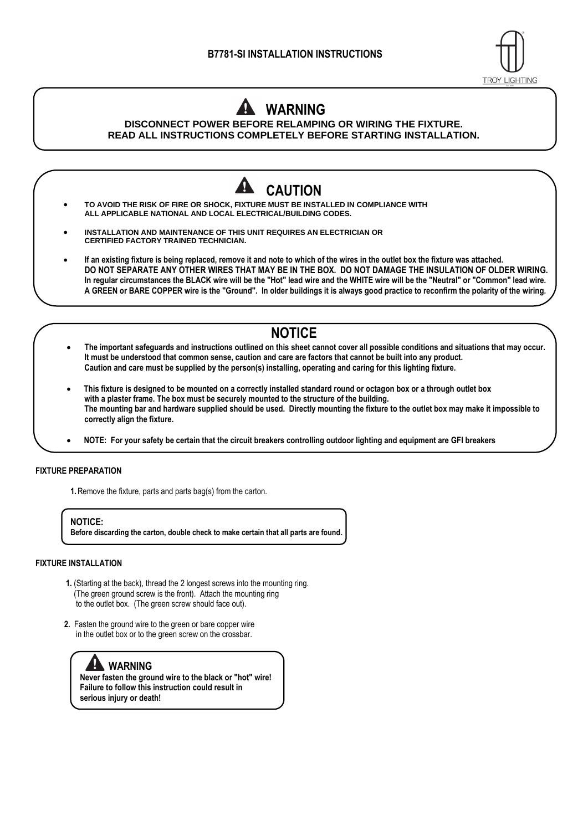

## **WARNING**

**DISCONNECT POWER BEFORE RELAMPING OR WIRING THE FIXTURE. READ ALL INSTRUCTIONS COMPLETELY BEFORE STARTING INSTALLATION.**



- **NOTICE**
- **The important safeguards and instructions outlined on this sheet cannot cover all possible conditions and situations that may occur. It must be understood that common sense, caution and care are factors that cannot be built into any product. Caution and care must be supplied by the person(s) installing, operating and caring for this lighting fixture.**
- • **This fixture is designed to be mounted on a correctly installed standard round or octagon box or a through outlet box with a plaster frame. The box must be securely mounted to the structure of the building. The mounting bar and hardware supplied should be used. Directly mounting the fixture to the outlet box may make it impossible to correctly align the fixture.**
- • **NOTE: For your safety be certain that the circuit breakers controlling outdoor lighting and equipment are GFI breakers**

## **FIXTURE PREPARATION**

**1.**Remove the fixture, parts and parts bag(s) from the carton.

**NOTICE: Before discarding the carton, double check to make certain that all parts are found.**

## **FIXTURE INSTALLATION**

- **1.** (Starting at the back), thread the 2 longest screws into the mounting ring. (The green ground screw is the front). Attach the mounting ring to the outlet box. (The green screw should face out).
- **2.** Fasten the ground wire to the green or bare copper wire in the outlet box or to the green screw on the crossbar.

## **WARNING**

**Never fasten the ground wire to the black or "hot" wire! Failure to follow this instruction could result in serious injury or death!**